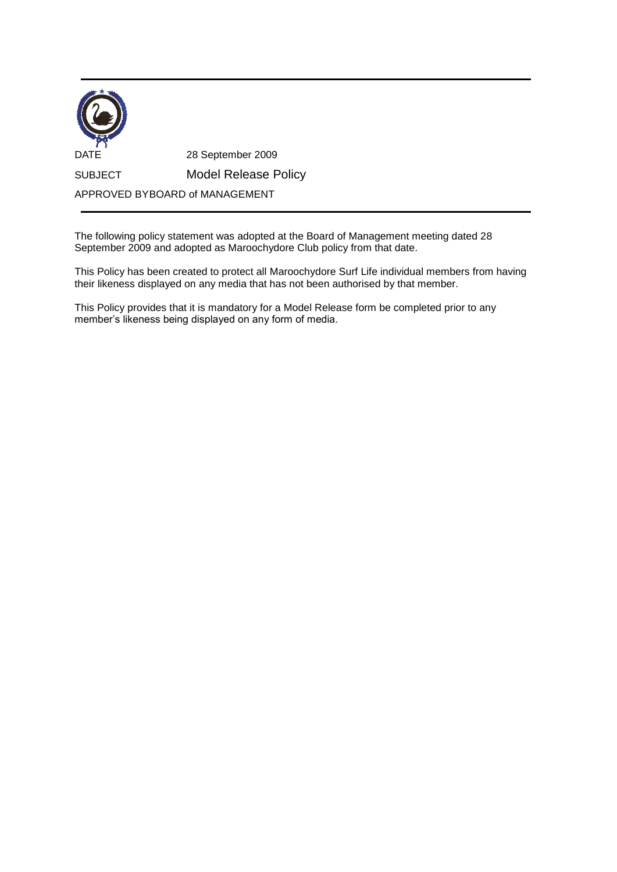| <b>DATE</b>                    | 28 September 2009           |
|--------------------------------|-----------------------------|
| <b>SUBJECT</b>                 | <b>Model Release Policy</b> |
| APPROVED BYBOARD of MANAGEMENT |                             |

The following policy statement was adopted at the Board of Management meeting dated 28 September 2009 and adopted as Maroochydore Club policy from that date.

This Policy has been created to protect all Maroochydore Surf Life individual members from having their likeness displayed on any media that has not been authorised by that member.

This Policy provides that it is mandatory for a Model Release form be completed prior to any member's likeness being displayed on any form of media.